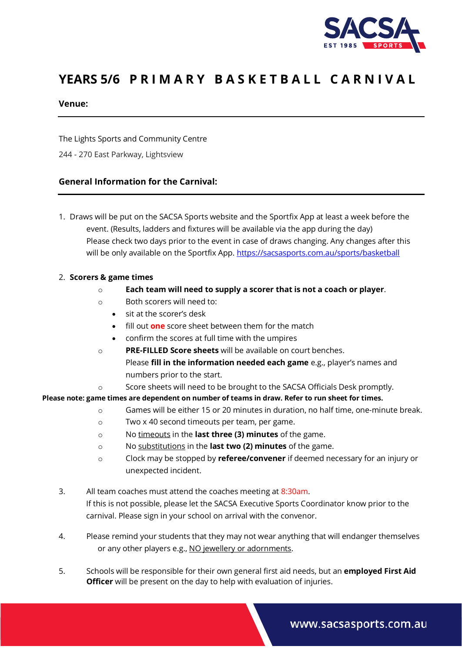

# YEARS 5/6 PRIMARY BASKETBALL CARNIVAL

#### **Venue:**

The Lights Sports and Community Centre

244 - 270 East Parkway, Lightsview

## **General Information for the Carnival:**

1. Draws will be put on the SACSA Sports website and the Sportfix App at least a week before the event. (Results, ladders and fixtures will be available via the app during the day) Please check two days prior to the event in case of draws changing. Any changes after this will be only available on the Sportfix App. <https://sacsasports.com.au/sports/basketball>

#### 2. **Scorers & game times**

- o **Each team will need to supply a scorer that is not a coach or player**.
- o Both scorers will need to:
	- sit at the scorer's desk
	- fill out **one** score sheet between them for the match
	- confirm the scores at full time with the umpires
- o **PRE-FILLED Score sheets** will be available on court benches. Please **fill in the information needed each game** e.g., player's names and numbers prior to the start.
- o Score sheets will need to be brought to the SACSA Officials Desk promptly.

**Please note: game times are dependent on number of teams in draw. Refer to run sheet for times.**

- o Games will be either 15 or 20 minutes in duration, no half time, one-minute break.
- o Two x 40 second timeouts per team, per game.
- o No timeouts in the **last three (3) minutes** of the game.
- o No substitutions in the **last two (2) minutes** of the game.
- o Clock may be stopped by **referee/convener** if deemed necessary for an injury or unexpected incident.
- 3. All team coaches must attend the coaches meeting at 8:30am. If this is not possible, please let the SACSA Executive Sports Coordinator know prior to the carnival. Please sign in your school on arrival with the convenor.
- 4. Please remind your students that they may not wear anything that will endanger themselves or any other players e.g., NO jewellery or adornments.
- 5. Schools will be responsible for their own general first aid needs, but an **employed First Aid Officer** will be present on the day to help with evaluation of injuries.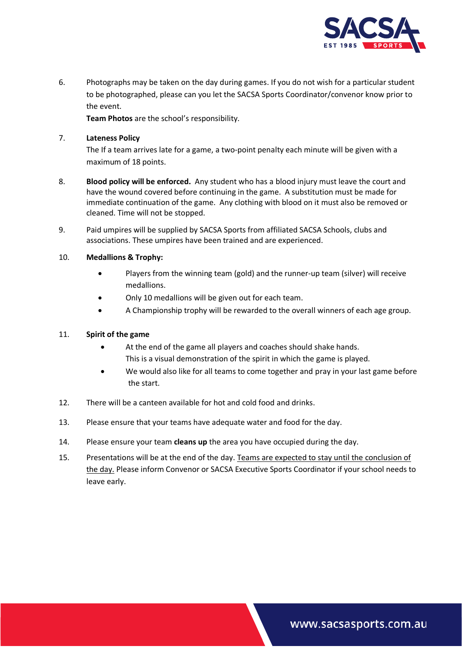

6. Photographs may be taken on the day during games. If you do not wish for a particular student to be photographed, please can you let the SACSA Sports Coordinator/convenor know prior to the event.

**Team Photos** are the school's responsibility.

#### 7. **Lateness Policy**

The If a team arrives late for a game, a two-point penalty each minute will be given with a maximum of 18 points.

- 8. **Blood policy will be enforced.** Any student who has a blood injury must leave the court and have the wound covered before continuing in the game. A substitution must be made for immediate continuation of the game. Any clothing with blood on it must also be removed or cleaned. Time will not be stopped.
- 9. Paid umpires will be supplied by SACSA Sports from affiliated SACSA Schools, clubs and associations. These umpires have been trained and are experienced.

#### 10. **Medallions & Trophy:**

- Players from the winning team (gold) and the runner-up team (silver) will receive medallions.
- Only 10 medallions will be given out for each team.
- A Championship trophy will be rewarded to the overall winners of each age group.

## 11. **Spirit of the game**

- At the end of the game all players and coaches should shake hands. This is a visual demonstration of the spirit in which the game is played.
- We would also like for all teams to come together and pray in your last game before the start.
- 12. There will be a canteen available for hot and cold food and drinks.
- 13. Please ensure that your teams have adequate water and food for the day.
- 14. Please ensure your team **cleans up** the area you have occupied during the day.
- 15. Presentations will be at the end of the day. Teams are expected to stay until the conclusion of the day. Please inform Convenor or SACSA Executive Sports Coordinator if your school needs to leave early.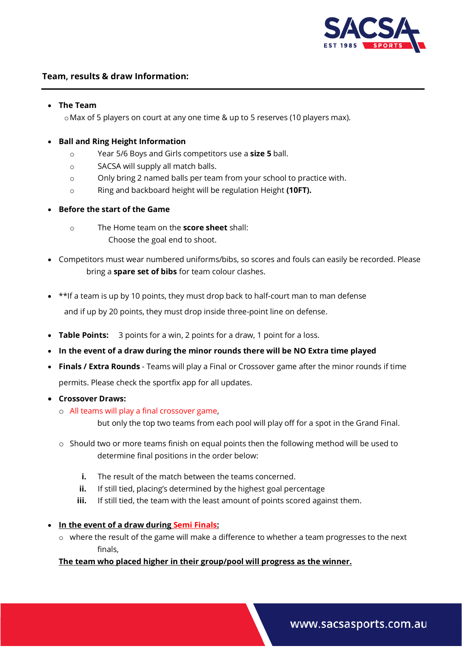

# **Team, results & draw Information:**

#### • **The Team**

oMax of 5 players on court at any one time & up to 5 reserves (10 players max).

### • **Ball and Ring Height Information**

- o Year 5/6 Boys and Girls competitors use a **size 5** ball.
- o SACSA will supply all match balls.
- o Only bring 2 named balls per team from your school to practice with.
- o Ring and backboard height will be regulation Height **(10FT).**

#### • **Before the start of the Game**

- o The Home team on the **score sheet** shall: Choose the goal end to shoot.
- Competitors must wear numbered uniforms/bibs, so scores and fouls can easily be recorded. Please bring a **spare set of bibs** for team colour clashes.
- \*\*If a team is up by 10 points, they must drop back to half-court man to man defense and if up by 20 points, they must drop inside three-point line on defense.
- **Table Points:** 3 points for a win, 2 points for a draw, 1 point for a loss.
- **In the event of a draw during the minor rounds there will be NO Extra time played**
- **Finals / Extra Rounds** Teams will play a Final or Crossover game after the minor rounds if time permits. Please check the sportfix app for all updates.

#### • **Crossover Draws:**

o All teams will play a final crossover game,

but only the top two teams from each pool will play off for a spot in the Grand Final.

- o Should two or more teams finish on equal points then the following method will be used to determine final positions in the order below:
	- **i.** The result of the match between the teams concerned.
	- **ii.** If still tied, placing's determined by the highest goal percentage
	- **iii.** If still tied, the team with the least amount of points scored against them.
- **In the event of a draw during Semi Finals:**
	- $\circ$  where the result of the game will make a difference to whether a team progresses to the next finals,

## **The team who placed higher in their group/pool will progress as the winner.**